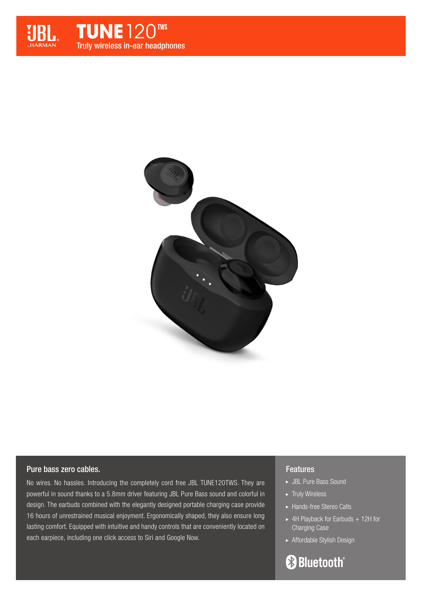



# Pure bass zero cables.

No wires. No hassles. Introducing the completely cord free JBL TUNE120TWS. They are powerful in sound thanks to a 5.8mm driver featuring JBL Pure Bass sound and colorful in design. The earbuds combined with the elegantly designed portable charging case provide 16 hours of unrestrained musical enjoyment. Ergonomically shaped, they also ensure long lasting comfort. Equipped with intuitive and handy controls that are conveniently located on each earpiece, including one click access to Siri and Google Now.

# Features

- JBL Pure Bass Sound
- $\blacktriangleright$  Truly Wireless
- ► Hands-free Stereo Calls
- $\blacktriangleright$  4H Playback for Earbuds + 12H for Charging Case
- Affordable Stylish Design

**Bluetooth**®